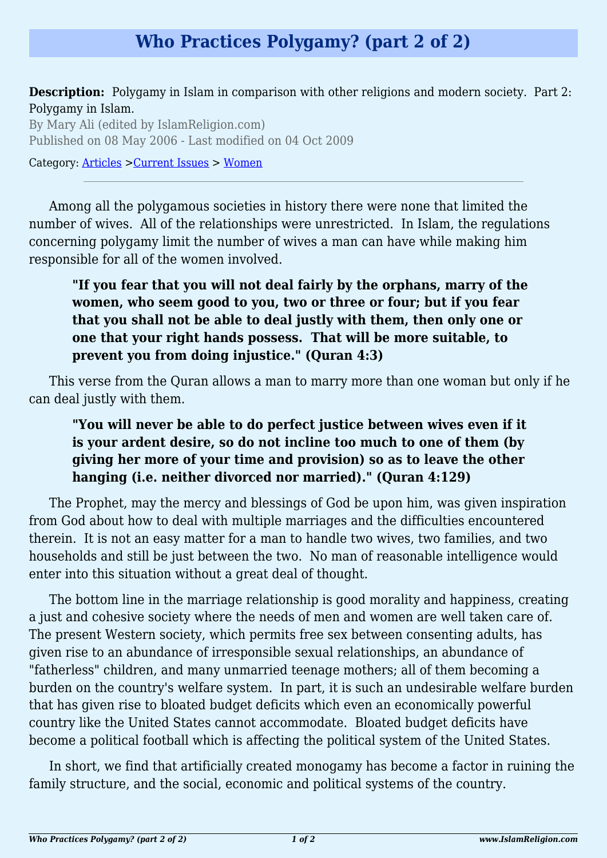## **Who Practices Polygamy? (part 2 of 2)**

**Description:** Polygamy in Islam in comparison with other religions and modern society. Part 2: Polygamy in Islam.

By Mary Ali (edited by IslamReligion.com) Published on 08 May 2006 - Last modified on 04 Oct 2009

Category: [Articles](http://www.islamreligion.com/articles/) >[Current Issues](http://www.islamreligion.com/category/83/) > [Women](http://www.islamreligion.com/category/101/)

Among all the polygamous societies in history there were none that limited the number of wives. All of the relationships were unrestricted. In Islam, the regulations concerning polygamy limit the number of wives a man can have while making him responsible for all of the women involved.

## **"If you fear that you will not deal fairly by the orphans, marry of the women, who seem good to you, two or three or four; but if you fear that you shall not be able to deal justly with them, then only one or one that your right hands possess. That will be more suitable, to prevent you from doing injustice." (Quran 4:3)**

This verse from the Quran allows a man to marry more than one woman but only if he can deal justly with them.

## **"You will never be able to do perfect justice between wives even if it is your ardent desire, so do not incline too much to one of them (by giving her more of your time and provision) so as to leave the other hanging (i.e. neither divorced nor married)." (Quran 4:129)**

The Prophet, may the mercy and blessings of God be upon him, was given inspiration from God about how to deal with multiple marriages and the difficulties encountered therein. It is not an easy matter for a man to handle two wives, two families, and two households and still be just between the two. No man of reasonable intelligence would enter into this situation without a great deal of thought.

The bottom line in the marriage relationship is good morality and happiness, creating a just and cohesive society where the needs of men and women are well taken care of. The present Western society, which permits free sex between consenting adults, has given rise to an abundance of irresponsible sexual relationships, an abundance of "fatherless" children, and many unmarried teenage mothers; all of them becoming a burden on the country's welfare system. In part, it is such an undesirable welfare burden that has given rise to bloated budget deficits which even an economically powerful country like the United States cannot accommodate. Bloated budget deficits have become a political football which is affecting the political system of the United States.

In short, we find that artificially created monogamy has become a factor in ruining the family structure, and the social, economic and political systems of the country.